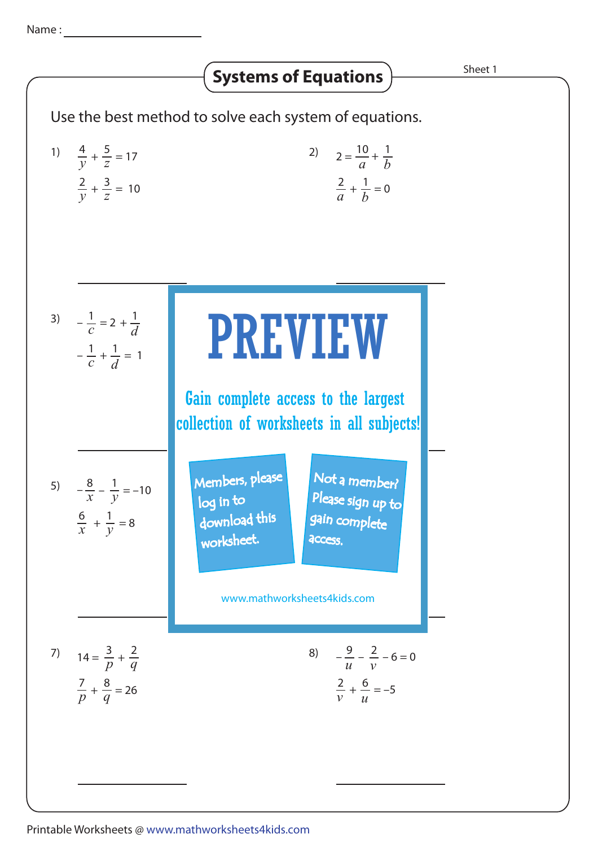## Use the best method to solve each system of equations. 1)  $\frac{4}{y} + \frac{5}{z} = 17$ 5 *z*  $\frac{2}{y} + \frac{3}{z} = 10$ 3 *z* 2)  $2 = \frac{10}{a} +$ 3)  $-\frac{1}{2} = 2 + \frac{1}{2}$  **nnie 10** 5)  $-\frac{8}{x} - \frac{1}{y} = -10$  Members, Please 7)  $14 = \frac{3}{n} +$ *p* 2 *q*  $\frac{7}{p} + \frac{8}{q} = 26$ 8 *q* 8)  $-\frac{9}{11} - \frac{2}{11} - 6 = 0$ **Systems of Equations**  $\overline{\phantom{a}}$  **Sheet 1**  $\frac{1}{c} = 2 + \frac{1}{d}$  $-\frac{1}{c}$  $+\frac{1}{7} = 1$ *d* 1  $-\frac{1}{c}$ 1  $-\frac{6}{x} - \frac{1}{y}$  $\frac{6}{x} + \frac{1}{y} = 8$ 1 *y* 3*r* + 4*s* = *rs* Not a member? 5*r* + 6*s* = *rs* Please sign up to *a* 1 *b*  $+\frac{1}{1} = 0$ *b* 2 *a*  $\sqrt{16}$ *t* 5 *s* 4 VV *s t*  $+ 6 = -5$ *u* 2 *v v* 9 *u* PREVIEW www.mathworksheets4kids.com Members, please download this worksheet. log in to gain complete **access** Gain complete access to the largest collection of worksheets in all subjects!

## Printable Worksheets @ www.mathworksheets4kids.com